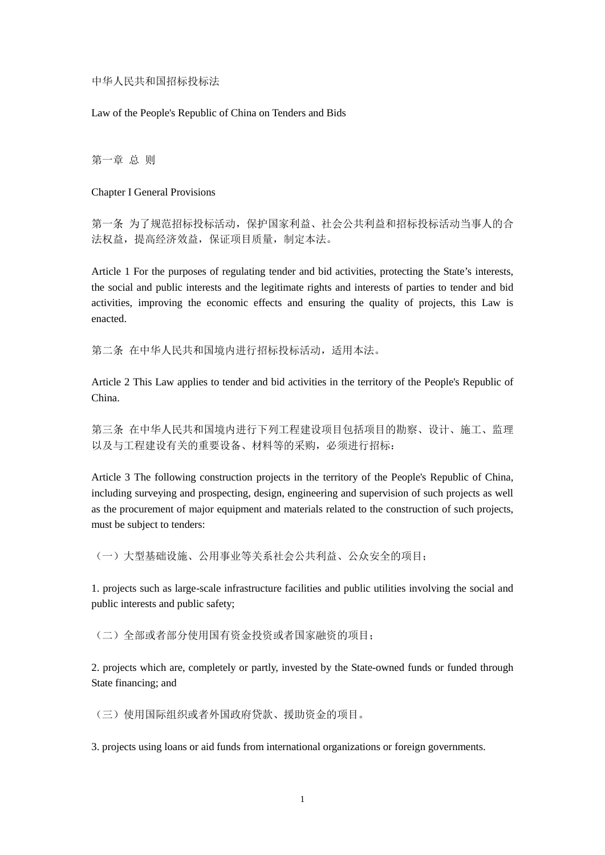中华人民共和国招标投标法

Law of the People's Republic of China on Tenders and Bids

第一章 总 则

Chapter I General Provisions

第一条 为了规范招标投标活动,保护国家利益、社会公共利益和招标投标活动当事人的合 法权益,提高经济效益,保证项目质量,制定本法。

Article 1 For the purposes of regulating tender and bid activities, protecting the State's interests, the social and public interests and the legitimate rights and interests of parties to tender and bid activities, improving the economic effects and ensuring the quality of projects, this Law is enacted.

第二条 在中华人民共和国境内进行招标投标活动,适用本法。

Article 2 This Law applies to tender and bid activities in the territory of the People's Republic of China.

第三条 在中华人民共和国境内进行下列工程建设项目包括项目的勘察、设计、施工、监理 以及与工程建设有关的重要设备、材料等的采购,必须进行招标:

Article 3 The following construction projects in the territory of the People's Republic of China, including surveying and prospecting, design, engineering and supervision of such projects as well as the procurement of major equipment and materials related to the construction of such projects, must be subject to tenders:

(一)大型基础设施、公用事业等关系社会公共利益、公众安全的项目;

1. projects such as large-scale infrastructure facilities and public utilities involving the social and public interests and public safety;

(二)全部或者部分使用国有资金投资或者国家融资的项目;

2. projects which are, completely or partly, invested by the State-owned funds or funded through State financing; and

(三)使用国际组织或者外国政府贷款、援助资金的项目。

3. projects using loans or aid funds from international organizations or foreign governments.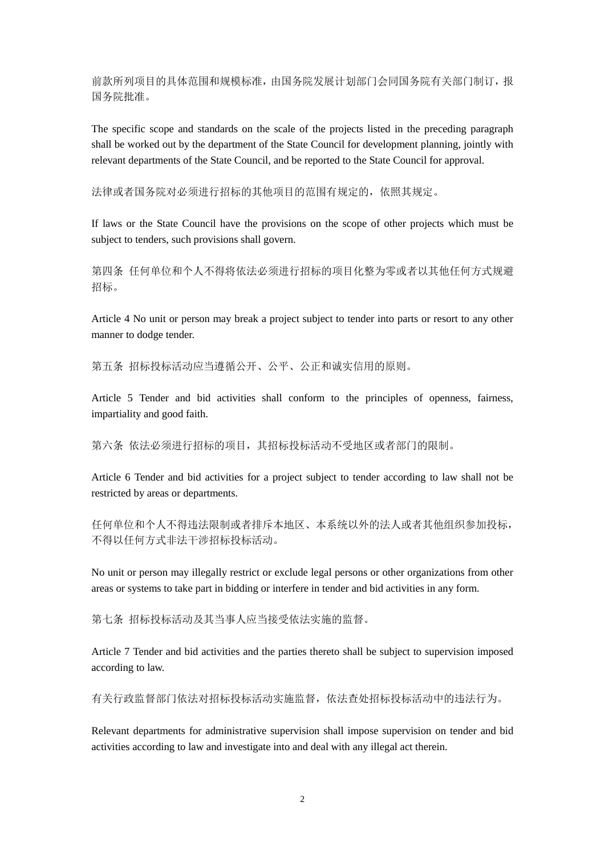前款所列项目的具体范围和规模标准,由国务院发展计划部门会同国务院有关部门制订,报 国务院批准。

The specific scope and standards on the scale of the projects listed in the preceding paragraph shall be worked out by the department of the State Council for development planning, jointly with relevant departments of the State Council, and be reported to the State Council for approval.

法律或者国务院对必须进行招标的其他项目的范围有规定的,依照其规定。

If laws or the State Council have the provisions on the scope of other projects which must be subject to tenders, such provisions shall govern.

第四条 任何单位和个人不得将依法必须进行招标的项目化整为零或者以其他任何方式规避 招标。

Article 4 No unit or person may break a project subject to tender into parts or resort to any other manner to dodge tender.

第五条 招标投标活动应当遵循公开、公平、公正和诚实信用的原则。

Article 5 Tender and bid activities shall conform to the principles of openness, fairness, impartiality and good faith.

第六条 依法必须进行招标的项目,其招标投标活动不受地区或者部门的限制。

Article 6 Tender and bid activities for a project subject to tender according to law shall not be restricted by areas or departments.

任何单位和个人不得违法限制或者排斥本地区、本系统以外的法人或者其他组织参加投标, 不得以任何方式非法干涉招标投标活动。

No unit or person may illegally restrict or exclude legal persons or other organizations from other areas or systems to take part in bidding or interfere in tender and bid activities in any form.

第七条 招标投标活动及其当事人应当接受依法实施的监督。

Article 7 Tender and bid activities and the parties thereto shall be subject to supervision imposed according to law.

有关行政监督部门依法对招标投标活动实施监督,依法查处招标投标活动中的违法行为。

Relevant departments for administrative supervision shall impose supervision on tender and bid activities according to law and investigate into and deal with any illegal act therein.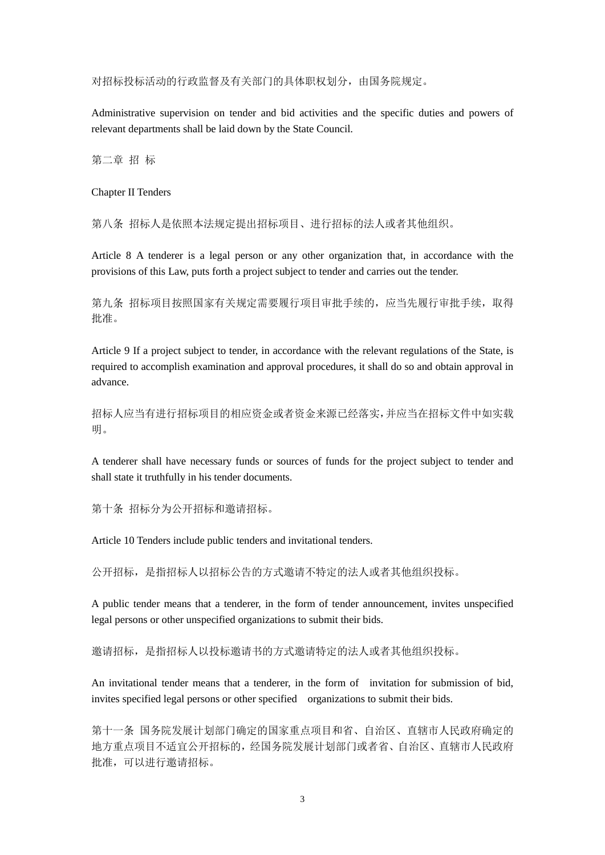对招标投标活动的行政监督及有关部门的具体职权划分,由国务院规定。

Administrative supervision on tender and bid activities and the specific duties and powers of relevant departments shall be laid down by the State Council.

第二章 招 标

Chapter II Tenders

第八条 招标人是依照本法规定提出招标项目、进行招标的法人或者其他组织。

Article 8 A tenderer is a legal person or any other organization that, in accordance with the provisions of this Law, puts forth a project subject to tender and carries out the tender.

第九条 招标项目按照国家有关规定需要履行项目审批手续的,应当先履行审批手续,取得 批准。

Article 9 If a project subject to tender, in accordance with the relevant regulations of the State, is required to accomplish examination and approval procedures, it shall do so and obtain approval in advance.

招标人应当有进行招标项目的相应资金或者资金来源已经落实,并应当在招标文件中如实载 明。

A tenderer shall have necessary funds or sources of funds for the project subject to tender and shall state it truthfully in his tender documents.

第十条 招标分为公开招标和邀请招标。

Article 10 Tenders include public tenders and invitational tenders.

公开招标,是指招标人以招标公告的方式邀请不特定的法人或者其他组织投标。

A public tender means that a tenderer, in the form of tender announcement, invites unspecified legal persons or other unspecified organizations to submit their bids.

邀请招标,是指招标人以投标邀请书的方式邀请特定的法人或者其他组织投标。

An invitational tender means that a tenderer, in the form of invitation for submission of bid, invites specified legal persons or other specified organizations to submit their bids.

第十一条 国务院发展计划部门确定的国家重点项目和省、自治区、直辖市人民政府确定的 地方重点项目不适宜公开招标的,经国务院发展计划部门或者省、自治区、直辖市人民政府 批准,可以进行邀请招标。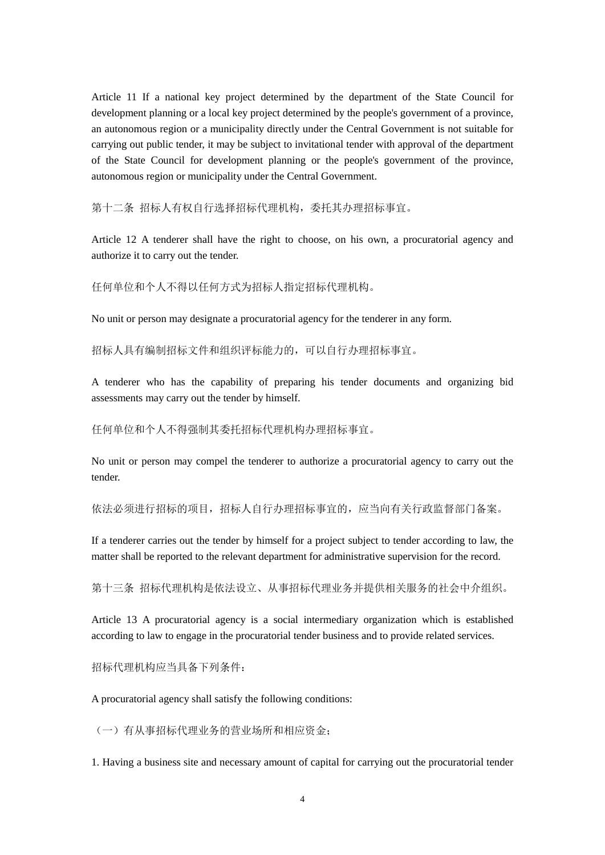Article 11 If a national key project determined by the department of the State Council for development planning or a local key project determined by the people's government of a province, an autonomous region or a municipality directly under the Central Government is not suitable for carrying out public tender, it may be subject to invitational tender with approval of the department of the State Council for development planning or the people's government of the province, autonomous region or municipality under the Central Government.

第十二条 招标人有权自行选择招标代理机构,委托其办理招标事宜。

Article 12 A tenderer shall have the right to choose, on his own, a procuratorial agency and authorize it to carry out the tender.

任何单位和个人不得以任何方式为招标人指定招标代理机构。

No unit or person may designate a procuratorial agency for the tenderer in any form.

招标人具有编制招标文件和组织评标能力的,可以自行办理招标事宜。

A tenderer who has the capability of preparing his tender documents and organizing bid assessments may carry out the tender by himself.

任何单位和个人不得强制其委托招标代理机构办理招标事宜。

No unit or person may compel the tenderer to authorize a procuratorial agency to carry out the tender.

依法必须进行招标的项目,招标人自行办理招标事宜的,应当向有关行政监督部门备案。

If a tenderer carries out the tender by himself for a project subject to tender according to law, the matter shall be reported to the relevant department for administrative supervision for the record.

第十三条 招标代理机构是依法设立、从事招标代理业务并提供相关服务的社会中介组织。

Article 13 A procuratorial agency is a social intermediary organization which is established according to law to engage in the procuratorial tender business and to provide related services.

招标代理机构应当具备下列条件:

A procuratorial agency shall satisfy the following conditions:

(一)有从事招标代理业务的营业场所和相应资金;

1. Having a business site and necessary amount of capital for carrying out the procuratorial tender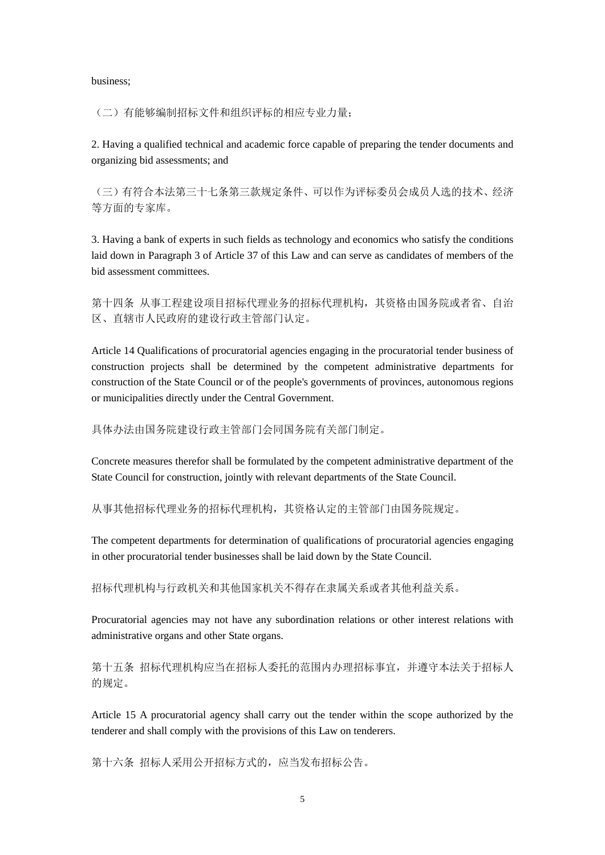business;

(二)有能够编制招标文件和组织评标的相应专业力量;

2. Having a qualified technical and academic force capable of preparing the tender documents and organizing bid assessments; and

(三)有符合本法第三十七条第三款规定条件、可以作为评标委员会成员人选的技术、经济 等方面的专家库。

3. Having a bank of experts in such fields as technology and economics who satisfy the conditions laid down in Paragraph 3 of Article 37 of this Law and can serve as candidates of members of the bid assessment committees.

第十四条 从事工程建设项目招标代理业务的招标代理机构,其资格由国务院或者省、自治 区、直辖市人民政府的建设行政主管部门认定。

Article 14 Qualifications of procuratorial agencies engaging in the procuratorial tender business of construction projects shall be determined by the competent administrative departments for construction of the State Council or of the people's governments of provinces, autonomous regions or municipalities directly under the Central Government.

具体办法由国务院建设行政主管部门会同国务院有关部门制定。

Concrete measures therefor shall be formulated by the competent administrative department of the State Council for construction, jointly with relevant departments of the State Council.

从事其他招标代理业务的招标代理机构,其资格认定的主管部门由国务院规定。

The competent departments for determination of qualifications of procuratorial agencies engaging in other procuratorial tender businesses shall be laid down by the State Council.

招标代理机构与行政机关和其他国家机关不得存在隶属关系或者其他利益关系。

Procuratorial agencies may not have any subordination relations or other interest relations with administrative organs and other State organs.

第十五条 招标代理机构应当在招标人委托的范围内办理招标事宜,并遵守本法关于招标人 的规定。

Article 15 A procuratorial agency shall carry out the tender within the scope authorized by the tenderer and shall comply with the provisions of this Law on tenderers.

第十六条 招标人采用公开招标方式的, 应当发布招标公告。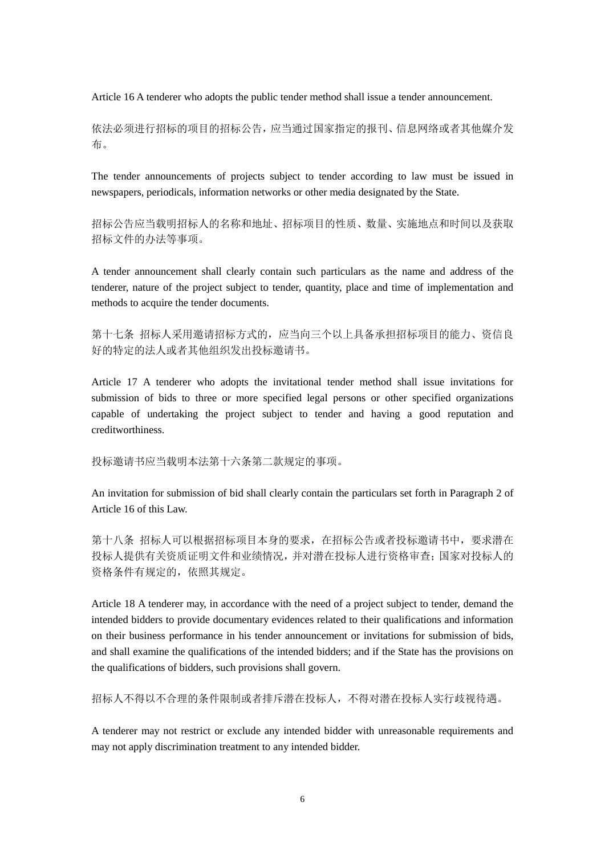Article 16 A tenderer who adopts the public tender method shall issue a tender announcement.

依法必须进行招标的项目的招标公告,应当通过国家指定的报刊、信息网络或者其他媒介发 布。

The tender announcements of projects subject to tender according to law must be issued in newspapers, periodicals, information networks or other media designated by the State.

招标公告应当载明招标人的名称和地址、招标项目的性质、数量、实施地点和时间以及获取 招标文件的办法等事项。

A tender announcement shall clearly contain such particulars as the name and address of the tenderer, nature of the project subject to tender, quantity, place and time of implementation and methods to acquire the tender documents.

第十七条 招标人采用邀请招标方式的,应当向三个以上具备承担招标项目的能力、资信良 好的特定的法人或者其他组织发出投标邀请书。

Article 17 A tenderer who adopts the invitational tender method shall issue invitations for submission of bids to three or more specified legal persons or other specified organizations capable of undertaking the project subject to tender and having a good reputation and creditworthiness.

投标邀请书应当载明本法第十六条第二款规定的事项。

An invitation for submission of bid shall clearly contain the particulars set forth in Paragraph 2 of Article 16 of this Law.

第十八条 招标人可以根据招标项目本身的要求,在招标公告或者投标邀请书中,要求潜在 投标人提供有关资质证明文件和业绩情况,并对潜在投标人进行资格审查;国家对投标人的 资格条件有规定的,依照其规定。

Article 18 A tenderer may, in accordance with the need of a project subject to tender, demand the intended bidders to provide documentary evidences related to their qualifications and information on their business performance in his tender announcement or invitations for submission of bids, and shall examine the qualifications of the intended bidders; and if the State has the provisions on the qualifications of bidders, such provisions shall govern.

招标人不得以不合理的条件限制或者排斥潜在投标人,不得对潜在投标人实行歧视待遇。

A tenderer may not restrict or exclude any intended bidder with unreasonable requirements and may not apply discrimination treatment to any intended bidder.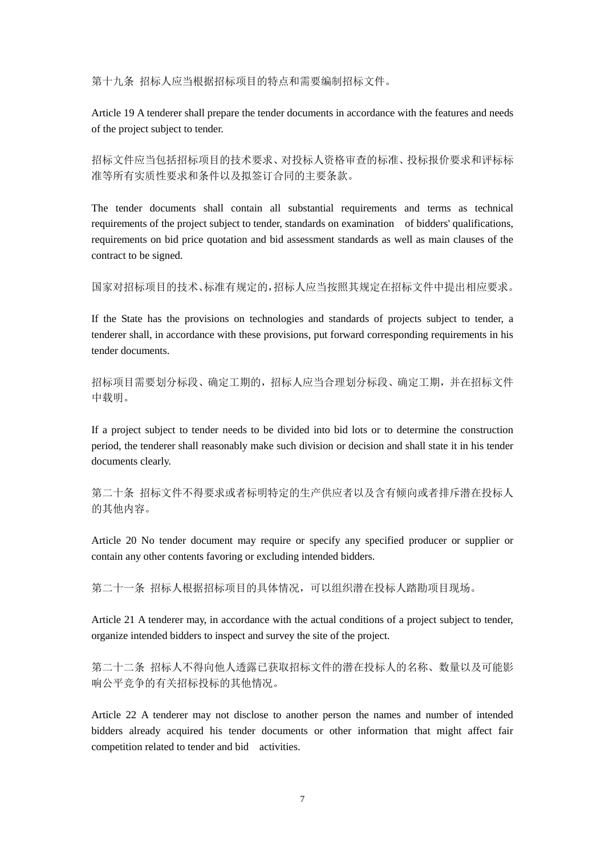第十九条 招标人应当根据招标项目的特点和需要编制招标文件。

Article 19 A tenderer shall prepare the tender documents in accordance with the features and needs of the project subject to tender.

招标文件应当包括招标项目的技术要求、对投标人资格审查的标准、投标报价要求和评标标 准等所有实质性要求和条件以及拟签订合同的主要条款。

The tender documents shall contain all substantial requirements and terms as technical requirements of the project subject to tender, standards on examination of bidders' qualifications, requirements on bid price quotation and bid assessment standards as well as main clauses of the contract to be signed.

国家对招标项目的技术、标准有规定的,招标人应当按照其规定在招标文件中提出相应要求。

If the State has the provisions on technologies and standards of projects subject to tender, a tenderer shall, in accordance with these provisions, put forward corresponding requirements in his tender documents.

招标项目需要划分标段、确定工期的,招标人应当合理划分标段、确定工期,并在招标文件 中载明。

If a project subject to tender needs to be divided into bid lots or to determine the construction period, the tenderer shall reasonably make such division or decision and shall state it in his tender documents clearly.

第二十条 招标文件不得要求或者标明特定的生产供应者以及含有倾向或者排斥潜在投标人 的其他内容。

Article 20 No tender document may require or specify any specified producer or supplier or contain any other contents favoring or excluding intended bidders.

第二十一条 招标人根据招标项目的具体情况,可以组织潜在投标人踏勘项目现场。

Article 21 A tenderer may, in accordance with the actual conditions of a project subject to tender, organize intended bidders to inspect and survey the site of the project.

第二十二条 招标人不得向他人透露已获取招标文件的潜在投标人的名称、数量以及可能影 响公平竞争的有关招标投标的其他情况。

Article 22 A tenderer may not disclose to another person the names and number of intended bidders already acquired his tender documents or other information that might affect fair competition related to tender and bid activities.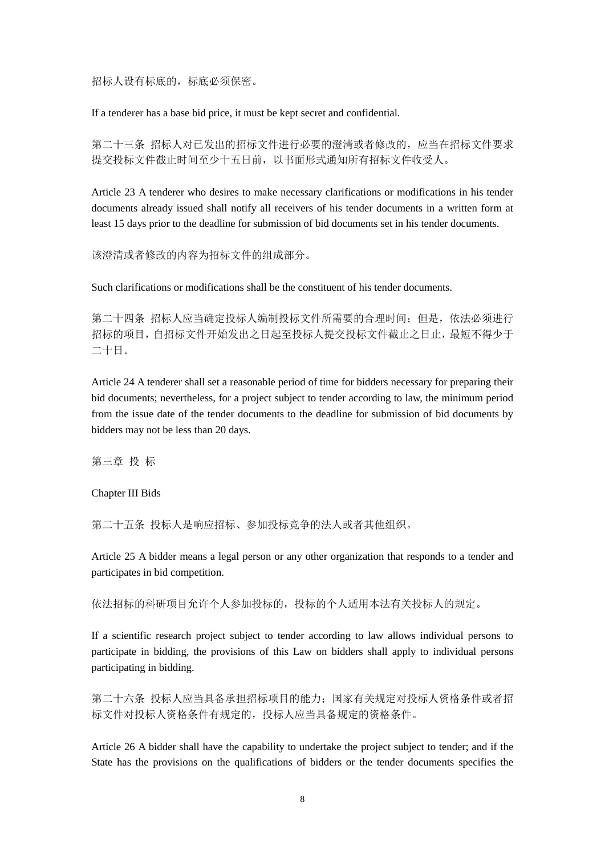招标人设有标底的,标底必须保密。

If a tenderer has a base bid price, it must be kept secret and confidential.

第二十三条 招标人对已发出的招标文件进行必要的澄清或者修改的,应当在招标文件要求 提交投标文件截止时间至少十五日前,以书面形式通知所有招标文件收受人。

Article 23 A tenderer who desires to make necessary clarifications or modifications in his tender documents already issued shall notify all receivers of his tender documents in a written form at least 15 days prior to the deadline for submission of bid documents set in his tender documents.

该澄清或者修改的内容为招标文件的组成部分。

Such clarifications or modifications shall be the constituent of his tender documents.

第二十四条 招标人应当确定投标人编制投标文件所需要的合理时间;但是,依法必须进行 招标的项目,自招标文件开始发出之日起至投标人提交投标文件截止之日止,最短不得少于 二十日。

Article 24 A tenderer shall set a reasonable period of time for bidders necessary for preparing their bid documents; nevertheless, for a project subject to tender according to law, the minimum period from the issue date of the tender documents to the deadline for submission of bid documents by bidders may not be less than 20 days.

第三章 投 标

Chapter III Bids

第二十五条 投标人是响应招标、参加投标竞争的法人或者其他组织。

Article 25 A bidder means a legal person or any other organization that responds to a tender and participates in bid competition.

依法招标的科研项目允许个人参加投标的,投标的个人适用本法有关投标人的规定。

If a scientific research project subject to tender according to law allows individual persons to participate in bidding, the provisions of this Law on bidders shall apply to individual persons participating in bidding.

第二十六条 投标人应当具备承担招标项目的能力;国家有关规定对投标人资格条件或者招 标文件对投标人资格条件有规定的,投标人应当具备规定的资格条件。

Article 26 A bidder shall have the capability to undertake the project subject to tender; and if the State has the provisions on the qualifications of bidders or the tender documents specifies the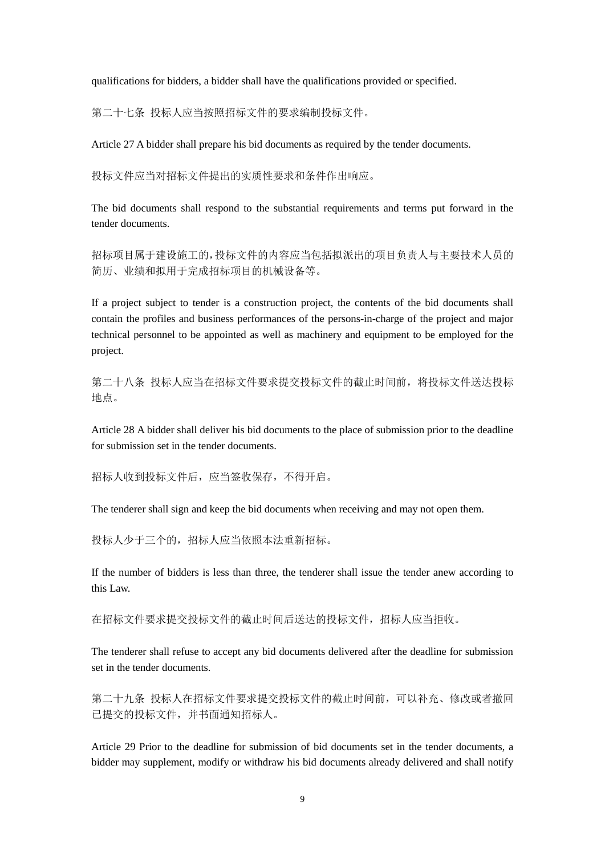qualifications for bidders, a bidder shall have the qualifications provided or specified.

第二十七条 投标人应当按照招标文件的要求编制投标文件。

Article 27 A bidder shall prepare his bid documents as required by the tender documents.

投标文件应当对招标文件提出的实质性要求和条件作出响应。

The bid documents shall respond to the substantial requirements and terms put forward in the tender documents.

招标项目属于建设施工的,投标文件的内容应当包括拟派出的项目负责人与主要技术人员的 简历、业绩和拟用于完成招标项目的机械设备等。

If a project subject to tender is a construction project, the contents of the bid documents shall contain the profiles and business performances of the persons-in-charge of the project and major technical personnel to be appointed as well as machinery and equipment to be employed for the project.

第二十八条 投标人应当在招标文件要求提交投标文件的截止时间前,将投标文件送达投标 地点。

Article 28 A bidder shall deliver his bid documents to the place of submission prior to the deadline for submission set in the tender documents.

招标人收到投标文件后,应当签收保存,不得开启。

The tenderer shall sign and keep the bid documents when receiving and may not open them.

投标人少于三个的,招标人应当依照本法重新招标。

If the number of bidders is less than three, the tenderer shall issue the tender anew according to this Law.

在招标文件要求提交投标文件的截止时间后送达的投标文件,招标人应当拒收。

The tenderer shall refuse to accept any bid documents delivered after the deadline for submission set in the tender documents.

第二十九条 投标人在招标文件要求提交投标文件的截止时间前,可以补充、修改或者撤回 已提交的投标文件,并书面通知招标人。

Article 29 Prior to the deadline for submission of bid documents set in the tender documents, a bidder may supplement, modify or withdraw his bid documents already delivered and shall notify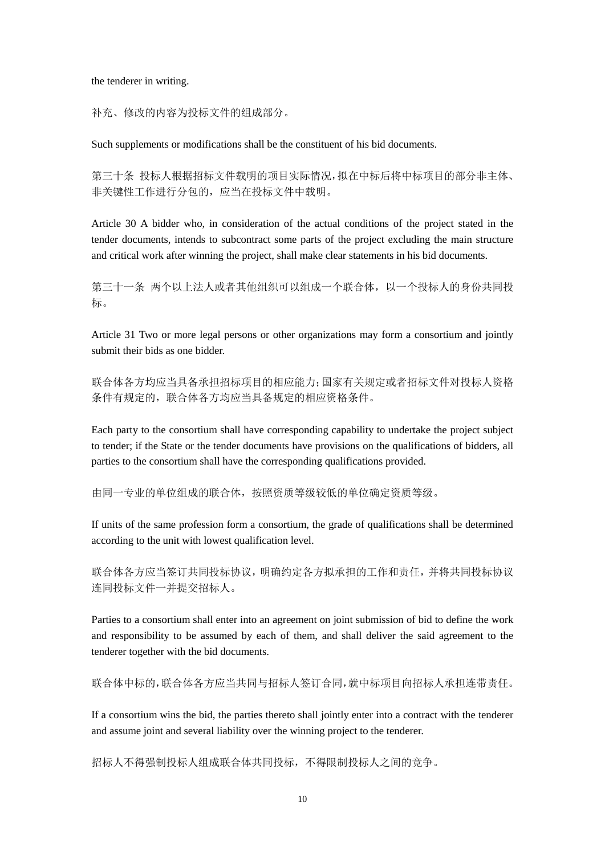the tenderer in writing.

补充、修改的内容为投标文件的组成部分。

Such supplements or modifications shall be the constituent of his bid documents.

第三十条 投标人根据招标文件载明的项目实际情况,拟在中标后将中标项目的部分非主体、 非关键性工作进行分包的,应当在投标文件中载明。

Article 30 A bidder who, in consideration of the actual conditions of the project stated in the tender documents, intends to subcontract some parts of the project excluding the main structure and critical work after winning the project, shall make clear statements in his bid documents.

第三十一条 两个以上法人或者其他组织可以组成一个联合体,以一个投标人的身份共同投 标。

Article 31 Two or more legal persons or other organizations may form a consortium and jointly submit their bids as one bidder.

联合体各方均应当具备承担招标项目的相应能力;国家有关规定或者招标文件对投标人资格 条件有规定的,联合体各方均应当具备规定的相应资格条件。

Each party to the consortium shall have corresponding capability to undertake the project subject to tender; if the State or the tender documents have provisions on the qualifications of bidders, all parties to the consortium shall have the corresponding qualifications provided.

由同一专业的单位组成的联合体,按照资质等级较低的单位确定资质等级。

If units of the same profession form a consortium, the grade of qualifications shall be determined according to the unit with lowest qualification level.

联合体各方应当签订共同投标协议,明确约定各方拟承担的工作和责任,并将共同投标协议 连同投标文件一并提交招标人。

Parties to a consortium shall enter into an agreement on joint submission of bid to define the work and responsibility to be assumed by each of them, and shall deliver the said agreement to the tenderer together with the bid documents.

联合体中标的,联合体各方应当共同与招标人签订合同,就中标项目向招标人承担连带责任。

If a consortium wins the bid, the parties thereto shall jointly enter into a contract with the tenderer and assume joint and several liability over the winning project to the tenderer.

招标人不得强制投标人组成联合体共同投标,不得限制投标人之间的竞争。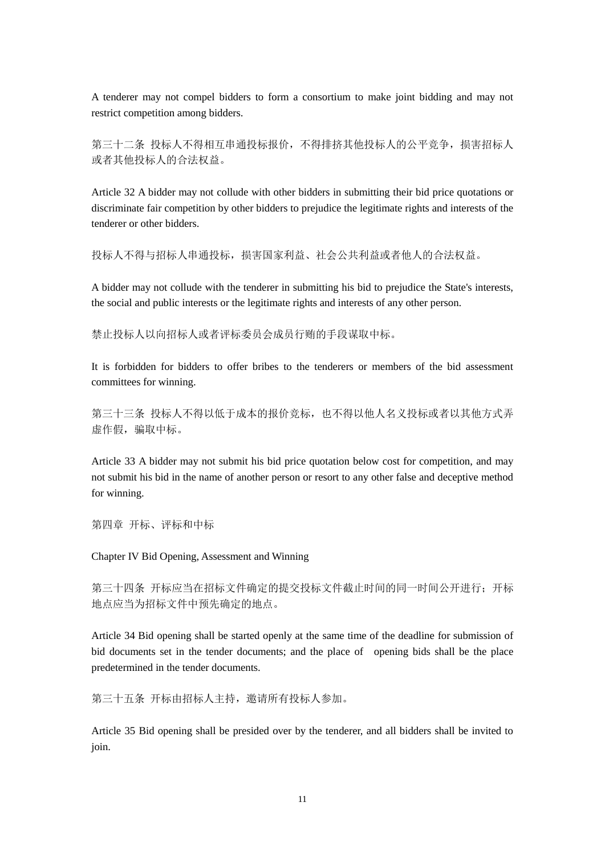A tenderer may not compel bidders to form a consortium to make joint bidding and may not restrict competition among bidders.

第三十二条 投标人不得相互串通投标报价,不得排挤其他投标人的公平竞争,损害招标人 或者其他投标人的合法权益。

Article 32 A bidder may not collude with other bidders in submitting their bid price quotations or discriminate fair competition by other bidders to prejudice the legitimate rights and interests of the tenderer or other bidders.

投标人不得与招标人串通投标,损害国家利益、社会公共利益或者他人的合法权益。

A bidder may not collude with the tenderer in submitting his bid to prejudice the State's interests, the social and public interests or the legitimate rights and interests of any other person.

禁止投标人以向招标人或者评标委员会成员行贿的手段谋取中标。

It is forbidden for bidders to offer bribes to the tenderers or members of the bid assessment committees for winning.

第三十三条 投标人不得以低于成本的报价竞标,也不得以他人名义投标或者以其他方式弄 虚作假,骗取中标。

Article 33 A bidder may not submit his bid price quotation below cost for competition, and may not submit his bid in the name of another person or resort to any other false and deceptive method for winning.

第四章 开标、评标和中标

Chapter IV Bid Opening, Assessment and Winning

第三十四条 开标应当在招标文件确定的提交投标文件截止时间的同一时间公开进行;开标 地点应当为招标文件中预先确定的地点。

Article 34 Bid opening shall be started openly at the same time of the deadline for submission of bid documents set in the tender documents; and the place of opening bids shall be the place predetermined in the tender documents.

第三十五条 开标由招标人主持,邀请所有投标人参加。

Article 35 Bid opening shall be presided over by the tenderer, and all bidders shall be invited to join.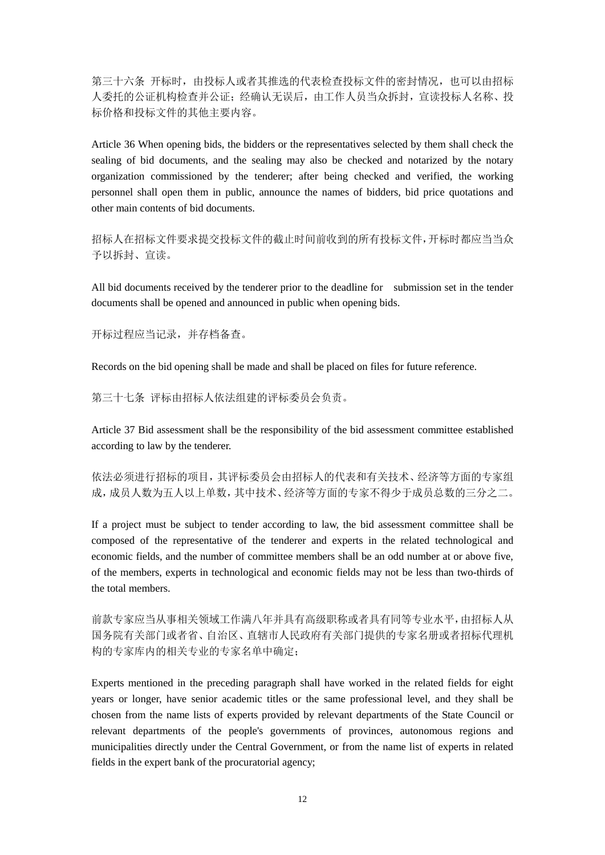第三十六条 开标时,由投标人或者其推选的代表检查投标文件的密封情况,也可以由招标 人委托的公证机构检查并公证;经确认无误后,由工作人员当众拆封,宣读投标人名称、投 标价格和投标文件的其他主要内容。

Article 36 When opening bids, the bidders or the representatives selected by them shall check the sealing of bid documents, and the sealing may also be checked and notarized by the notary organization commissioned by the tenderer; after being checked and verified, the working personnel shall open them in public, announce the names of bidders, bid price quotations and other main contents of bid documents.

招标人在招标文件要求提交投标文件的截止时间前收到的所有投标文件,开标时都应当当众 予以拆封、宣读。

All bid documents received by the tenderer prior to the deadline for submission set in the tender documents shall be opened and announced in public when opening bids.

开标过程应当记录,并存档备查。

Records on the bid opening shall be made and shall be placed on files for future reference.

第三十七条 评标由招标人依法组建的评标委员会负责。

Article 37 Bid assessment shall be the responsibility of the bid assessment committee established according to law by the tenderer.

依法必须进行招标的项目,其评标委员会由招标人的代表和有关技术、经济等方面的专家组 成,成员人数为五人以上单数,其中技术、经济等方面的专家不得少于成员总数的三分之二。

If a project must be subject to tender according to law, the bid assessment committee shall be composed of the representative of the tenderer and experts in the related technological and economic fields, and the number of committee members shall be an odd number at or above five, of the members, experts in technological and economic fields may not be less than two-thirds of the total members.

前款专家应当从事相关领域工作满八年并具有高级职称或者具有同等专业水平,由招标人从 国务院有关部门或者省、自治区、直辖市人民政府有关部门提供的专家名册或者招标代理机 构的专家库内的相关专业的专家名单中确定;

Experts mentioned in the preceding paragraph shall have worked in the related fields for eight years or longer, have senior academic titles or the same professional level, and they shall be chosen from the name lists of experts provided by relevant departments of the State Council or relevant departments of the people's governments of provinces, autonomous regions and municipalities directly under the Central Government, or from the name list of experts in related fields in the expert bank of the procuratorial agency;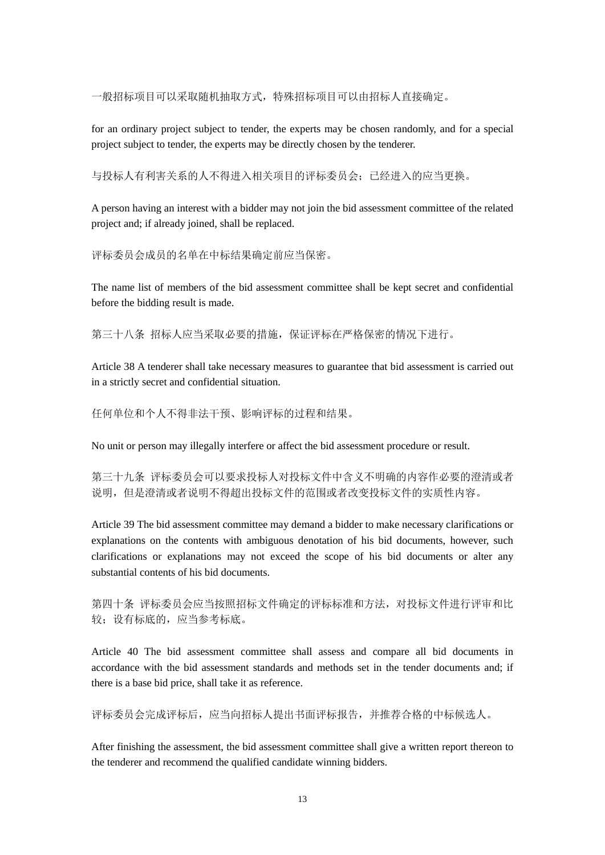一般招标项目可以采取随机抽取方式,特殊招标项目可以由招标人直接确定。

for an ordinary project subject to tender, the experts may be chosen randomly, and for a special project subject to tender, the experts may be directly chosen by the tenderer.

与投标人有利害关系的人不得进入相关项目的评标委员会;已经进入的应当更换。

A person having an interest with a bidder may not join the bid assessment committee of the related project and; if already joined, shall be replaced.

评标委员会成员的名单在中标结果确定前应当保密。

The name list of members of the bid assessment committee shall be kept secret and confidential before the bidding result is made.

第三十八条 招标人应当采取必要的措施,保证评标在严格保密的情况下进行。

Article 38 A tenderer shall take necessary measures to guarantee that bid assessment is carried out in a strictly secret and confidential situation.

任何单位和个人不得非法干预、影响评标的过程和结果。

No unit or person may illegally interfere or affect the bid assessment procedure or result.

第三十九条 评标委员会可以要求投标人对投标文件中含义不明确的内容作必要的澄清或者 说明,但是澄清或者说明不得超出投标文件的范围或者改变投标文件的实质性内容。

Article 39 The bid assessment committee may demand a bidder to make necessary clarifications or explanations on the contents with ambiguous denotation of his bid documents, however, such clarifications or explanations may not exceed the scope of his bid documents or alter any substantial contents of his bid documents.

第四十条 评标委员会应当按照招标文件确定的评标标准和方法,对投标文件进行评审和比 较;设有标底的,应当参考标底。

Article 40 The bid assessment committee shall assess and compare all bid documents in accordance with the bid assessment standards and methods set in the tender documents and; if there is a base bid price, shall take it as reference.

评标委员会完成评标后,应当向招标人提出书面评标报告,并推荐合格的中标候选人。

After finishing the assessment, the bid assessment committee shall give a written report thereon to the tenderer and recommend the qualified candidate winning bidders.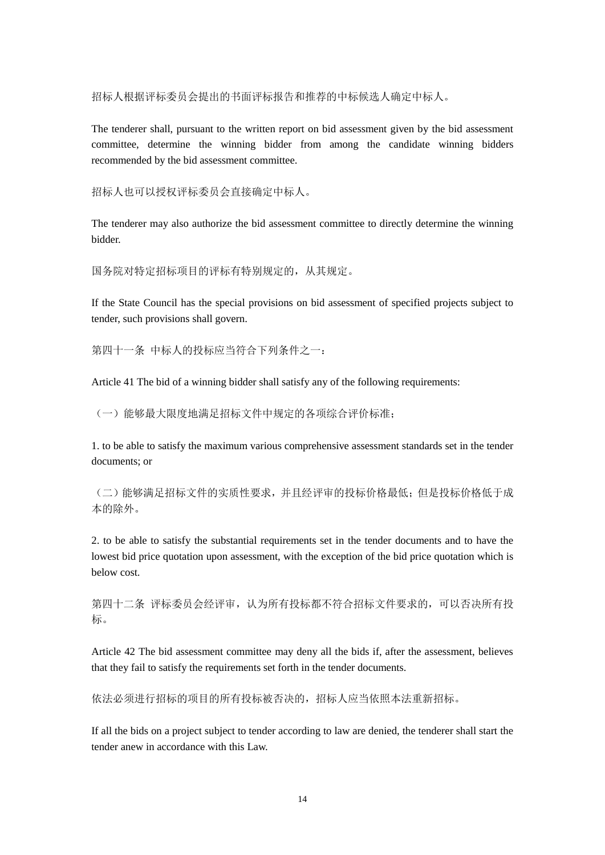招标人根据评标委员会提出的书面评标报告和推荐的中标候选人确定中标人。

The tenderer shall, pursuant to the written report on bid assessment given by the bid assessment committee, determine the winning bidder from among the candidate winning bidders recommended by the bid assessment committee.

招标人也可以授权评标委员会直接确定中标人。

The tenderer may also authorize the bid assessment committee to directly determine the winning bidder.

国务院对特定招标项目的评标有特别规定的,从其规定。

If the State Council has the special provisions on bid assessment of specified projects subject to tender, such provisions shall govern.

第四十一条 中标人的投标应当符合下列条件之一:

Article 41 The bid of a winning bidder shall satisfy any of the following requirements:

(一)能够最大限度地满足招标文件中规定的各项综合评价标准;

1. to be able to satisfy the maximum various comprehensive assessment standards set in the tender documents; or

(二)能够满足招标文件的实质性要求,并且经评审的投标价格最低;但是投标价格低于成 本的除外。

2. to be able to satisfy the substantial requirements set in the tender documents and to have the lowest bid price quotation upon assessment, with the exception of the bid price quotation which is below cost.

第四十二条 评标委员会经评审,认为所有投标都不符合招标文件要求的,可以否决所有投 标。

Article 42 The bid assessment committee may deny all the bids if, after the assessment, believes that they fail to satisfy the requirements set forth in the tender documents.

依法必须进行招标的项目的所有投标被否决的,招标人应当依照本法重新招标。

If all the bids on a project subject to tender according to law are denied, the tenderer shall start the tender anew in accordance with this Law.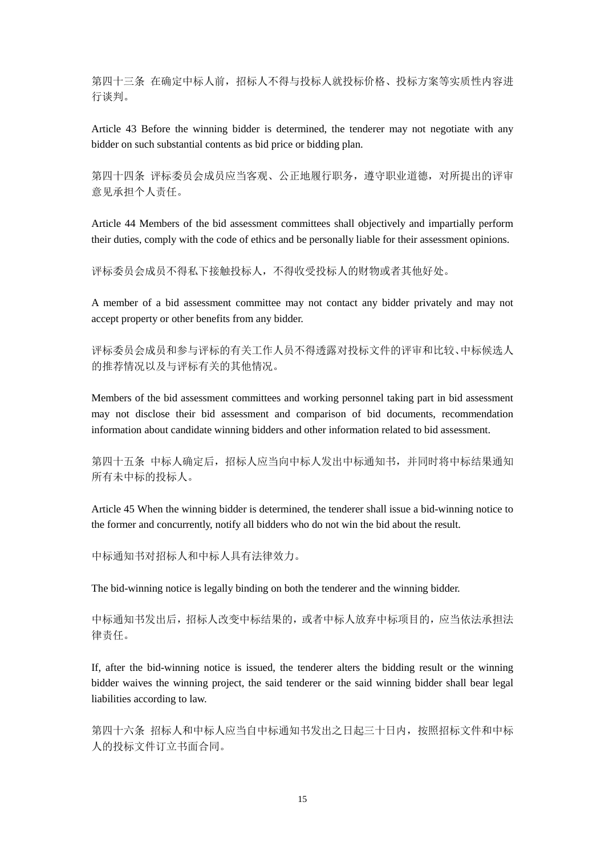第四十三条 在确定中标人前,招标人不得与投标人就投标价格、投标方案等实质性内容进 行谈判。

Article 43 Before the winning bidder is determined, the tenderer may not negotiate with any bidder on such substantial contents as bid price or bidding plan.

第四十四条 评标委员会成员应当客观、公正地履行职务, 遵守职业道德, 对所提出的评审 意见承担个人责任。

Article 44 Members of the bid assessment committees shall objectively and impartially perform their duties, comply with the code of ethics and be personally liable for their assessment opinions.

评标委员会成员不得私下接触投标人,不得收受投标人的财物或者其他好处。

A member of a bid assessment committee may not contact any bidder privately and may not accept property or other benefits from any bidder.

评标委员会成员和参与评标的有关工作人员不得透露对投标文件的评审和比较、中标候选人 的推荐情况以及与评标有关的其他情况。

Members of the bid assessment committees and working personnel taking part in bid assessment may not disclose their bid assessment and comparison of bid documents, recommendation information about candidate winning bidders and other information related to bid assessment.

第四十五条 中标人确定后,招标人应当向中标人发出中标通知书,并同时将中标结果通知 所有未中标的投标人。

Article 45 When the winning bidder is determined, the tenderer shall issue a bid-winning notice to the former and concurrently, notify all bidders who do not win the bid about the result.

中标通知书对招标人和中标人具有法律效力。

The bid-winning notice is legally binding on both the tenderer and the winning bidder.

中标通知书发出后,招标人改变中标结果的,或者中标人放弃中标项目的,应当依法承担法 律责任。

If, after the bid-winning notice is issued, the tenderer alters the bidding result or the winning bidder waives the winning project, the said tenderer or the said winning bidder shall bear legal liabilities according to law.

第四十六条 招标人和中标人应当自中标通知书发出之日起三十日内,按照招标文件和中标 人的投标文件订立书面合同。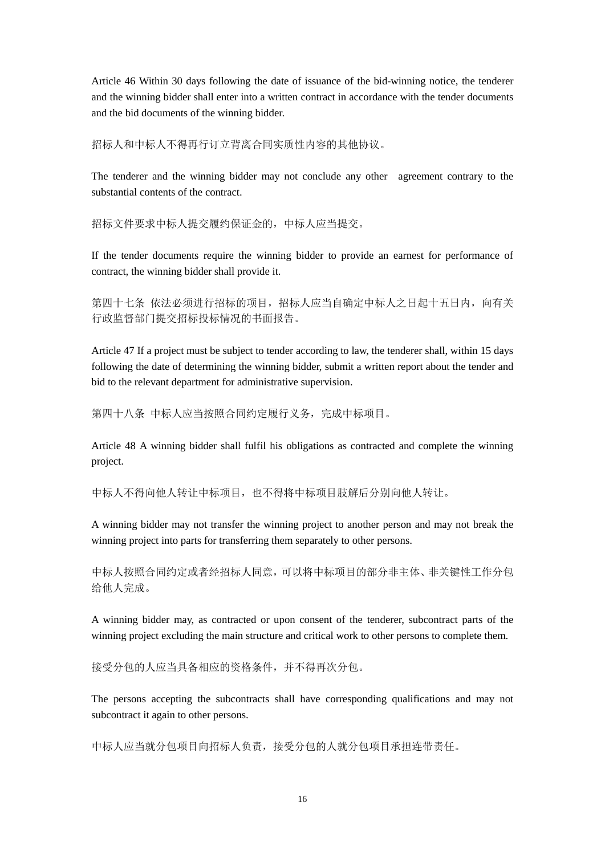Article 46 Within 30 days following the date of issuance of the bid-winning notice, the tenderer and the winning bidder shall enter into a written contract in accordance with the tender documents and the bid documents of the winning bidder.

招标人和中标人不得再行订立背离合同实质性内容的其他协议。

The tenderer and the winning bidder may not conclude any other agreement contrary to the substantial contents of the contract.

招标文件要求中标人提交履约保证金的,中标人应当提交。

If the tender documents require the winning bidder to provide an earnest for performance of contract, the winning bidder shall provide it.

第四十七条 依法必须进行招标的项目,招标人应当自确定中标人之日起十五日内,向有关 行政监督部门提交招标投标情况的书面报告。

Article 47 If a project must be subject to tender according to law, the tenderer shall, within 15 days following the date of determining the winning bidder, submit a written report about the tender and bid to the relevant department for administrative supervision.

第四十八条 中标人应当按照合同约定履行义务,完成中标项目。

Article 48 A winning bidder shall fulfil his obligations as contracted and complete the winning project.

中标人不得向他人转让中标项目,也不得将中标项目肢解后分别向他人转让。

A winning bidder may not transfer the winning project to another person and may not break the winning project into parts for transferring them separately to other persons.

中标人按照合同约定或者经招标人同意,可以将中标项目的部分非主体、非关键性工作分包 给他人完成。

A winning bidder may, as contracted or upon consent of the tenderer, subcontract parts of the winning project excluding the main structure and critical work to other persons to complete them.

接受分包的人应当具备相应的资格条件,并不得再次分包。

The persons accepting the subcontracts shall have corresponding qualifications and may not subcontract it again to other persons.

中标人应当就分包项目向招标人负责,接受分包的人就分包项目承担连带责任。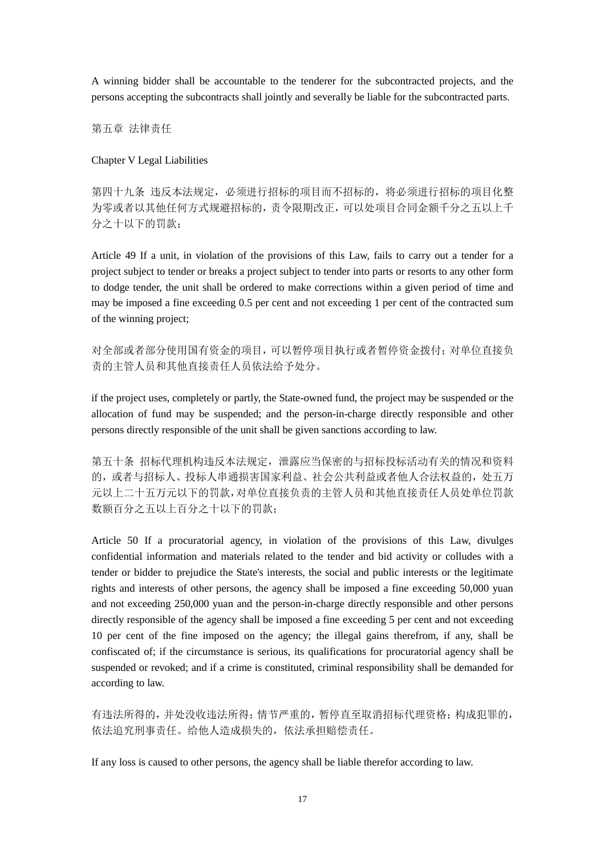A winning bidder shall be accountable to the tenderer for the subcontracted projects, and the persons accepting the subcontracts shall jointly and severally be liable for the subcontracted parts.

第五章 法律责任

## Chapter V Legal Liabilities

第四十九条 违反本法规定,必须进行招标的项目而不招标的,将必须进行招标的项目化整 为零或者以其他任何方式规避招标的,责令限期改正,可以处项目合同金额千分之五以上千 分之十以下的罚款;

Article 49 If a unit, in violation of the provisions of this Law, fails to carry out a tender for a project subject to tender or breaks a project subject to tender into parts or resorts to any other form to dodge tender, the unit shall be ordered to make corrections within a given period of time and may be imposed a fine exceeding 0.5 per cent and not exceeding 1 per cent of the contracted sum of the winning project;

对全部或者部分使用国有资金的项目,可以暂停项目执行或者暂停资金拨付;对单位直接负 责的主管人员和其他直接责任人员依法给予处分。

if the project uses, completely or partly, the State-owned fund, the project may be suspended or the allocation of fund may be suspended; and the person-in-charge directly responsible and other persons directly responsible of the unit shall be given sanctions according to law.

第五十条 招标代理机构违反本法规定,泄露应当保密的与招标投标活动有关的情况和资料 的,或者与招标人、投标人串通损害国家利益、社会公共利益或者他人合法权益的,处五万 元以上二十五万元以下的罚款,对单位直接负责的主管人员和其他直接责任人员处单位罚款 数额百分之五以上百分之十以下的罚款;

Article 50 If a procuratorial agency, in violation of the provisions of this Law, divulges confidential information and materials related to the tender and bid activity or colludes with a tender or bidder to prejudice the State's interests, the social and public interests or the legitimate rights and interests of other persons, the agency shall be imposed a fine exceeding 50,000 yuan and not exceeding 250,000 yuan and the person-in-charge directly responsible and other persons directly responsible of the agency shall be imposed a fine exceeding 5 per cent and not exceeding 10 per cent of the fine imposed on the agency; the illegal gains therefrom, if any, shall be confiscated of; if the circumstance is serious, its qualifications for procuratorial agency shall be suspended or revoked; and if a crime is constituted, criminal responsibility shall be demanded for according to law.

有违法所得的,并处没收违法所得;情节严重的,暂停直至取消招标代理资格;构成犯罪的, 依法追究刑事责任。给他人造成损失的,依法承担赔偿责任。

If any loss is caused to other persons, the agency shall be liable therefor according to law.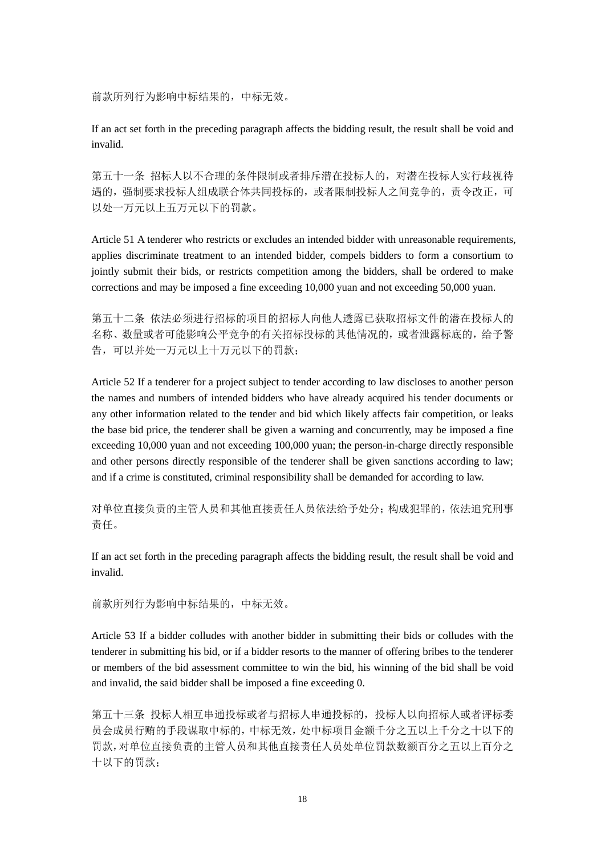前款所列行为影响中标结果的,中标无效。

If an act set forth in the preceding paragraph affects the bidding result, the result shall be void and invalid.

第五十一条 招标人以不合理的条件限制或者排斥潜在投标人的,对潜在投标人实行歧视待 遇的,强制要求投标人组成联合体共同投标的,或者限制投标人之间竞争的,责令改正,可 以处一万元以上五万元以下的罚款。

Article 51 A tenderer who restricts or excludes an intended bidder with unreasonable requirements, applies discriminate treatment to an intended bidder, compels bidders to form a consortium to jointly submit their bids, or restricts competition among the bidders, shall be ordered to make corrections and may be imposed a fine exceeding 10,000 yuan and not exceeding 50,000 yuan.

第五十二条 依法必须进行招标的项目的招标人向他人透露已获取招标文件的潜在投标人的 名称、数量或者可能影响公平竞争的有关招标投标的其他情况的,或者泄露标底的,给予警 告,可以并处一万元以上十万元以下的罚款;

Article 52 If a tenderer for a project subject to tender according to law discloses to another person the names and numbers of intended bidders who have already acquired his tender documents or any other information related to the tender and bid which likely affects fair competition, or leaks the base bid price, the tenderer shall be given a warning and concurrently, may be imposed a fine exceeding 10,000 yuan and not exceeding 100,000 yuan; the person-in-charge directly responsible and other persons directly responsible of the tenderer shall be given sanctions according to law; and if a crime is constituted, criminal responsibility shall be demanded for according to law.

对单位直接负责的主管人员和其他直接责任人员依法给予处分;构成犯罪的,依法追究刑事 责任。

If an act set forth in the preceding paragraph affects the bidding result, the result shall be void and invalid.

前款所列行为影响中标结果的,中标无效。

Article 53 If a bidder colludes with another bidder in submitting their bids or colludes with the tenderer in submitting his bid, or if a bidder resorts to the manner of offering bribes to the tenderer or members of the bid assessment committee to win the bid, his winning of the bid shall be void and invalid, the said bidder shall be imposed a fine exceeding 0.

第五十三条 投标人相互串通投标或者与招标人串通投标的,投标人以向招标人或者评标委 员会成员行贿的手段谋取中标的,中标无效,处中标项目金额千分之五以上千分之十以下的 罚款,对单位直接负责的主管人员和其他直接责任人员处单位罚款数额百分之五以上百分之 十以下的罚款;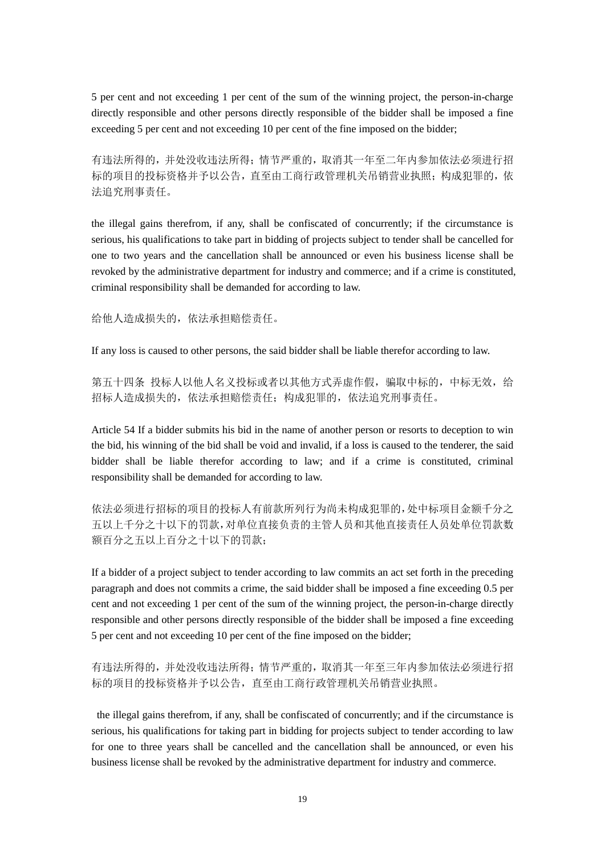5 per cent and not exceeding 1 per cent of the sum of the winning project, the person-in-charge directly responsible and other persons directly responsible of the bidder shall be imposed a fine exceeding 5 per cent and not exceeding 10 per cent of the fine imposed on the bidder;

有违法所得的,并处没收违法所得;情节严重的,取消其一年至二年内参加依法必须进行招 标的项目的投标资格并予以公告,直至由工商行政管理机关吊销营业执照;构成犯罪的,依 法追究刑事责任。

the illegal gains therefrom, if any, shall be confiscated of concurrently; if the circumstance is serious, his qualifications to take part in bidding of projects subject to tender shall be cancelled for one to two years and the cancellation shall be announced or even his business license shall be revoked by the administrative department for industry and commerce; and if a crime is constituted, criminal responsibility shall be demanded for according to law.

给他人造成损失的,依法承担赔偿责任。

If any loss is caused to other persons, the said bidder shall be liable therefor according to law.

第五十四条 投标人以他人名义投标或者以其他方式弄虚作假,骗取中标的,中标无效,给 招标人造成损失的,依法承担赔偿责任;构成犯罪的,依法追究刑事责任。

Article 54 If a bidder submits his bid in the name of another person or resorts to deception to win the bid, his winning of the bid shall be void and invalid, if a loss is caused to the tenderer, the said bidder shall be liable therefor according to law; and if a crime is constituted, criminal responsibility shall be demanded for according to law.

依法必须进行招标的项目的投标人有前款所列行为尚未构成犯罪的,处中标项目金额千分之 五以上千分之十以下的罚款,对单位直接负责的主管人员和其他直接责任人员处单位罚款数 额百分之五以上百分之十以下的罚款;

If a bidder of a project subject to tender according to law commits an act set forth in the preceding paragraph and does not commits a crime, the said bidder shall be imposed a fine exceeding 0.5 per cent and not exceeding 1 per cent of the sum of the winning project, the person-in-charge directly responsible and other persons directly responsible of the bidder shall be imposed a fine exceeding 5 per cent and not exceeding 10 per cent of the fine imposed on the bidder;

有违法所得的,并处没收违法所得;情节严重的,取消其一年至三年内参加依法必须进行招 标的项目的投标资格并予以公告,直至由工商行政管理机关吊销营业执照。

the illegal gains therefrom, if any, shall be confiscated of concurrently; and if the circumstance is serious, his qualifications for taking part in bidding for projects subject to tender according to law for one to three years shall be cancelled and the cancellation shall be announced, or even his business license shall be revoked by the administrative department for industry and commerce.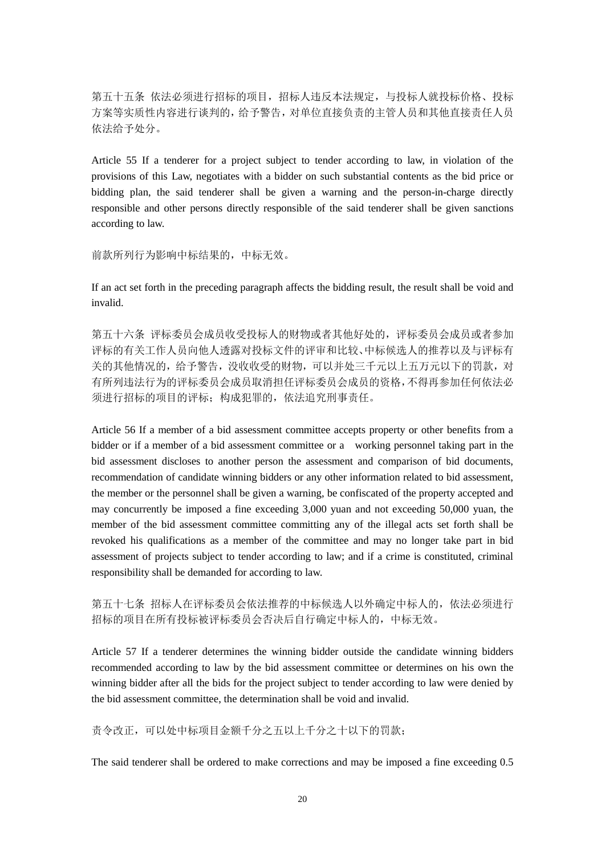第五十五条 依法必须进行招标的项目,招标人违反本法规定,与投标人就投标价格、投标 方案等实质性内容进行谈判的,给予警告,对单位直接负责的主管人员和其他直接责任人员 依法给予处分。

Article 55 If a tenderer for a project subject to tender according to law, in violation of the provisions of this Law, negotiates with a bidder on such substantial contents as the bid price or bidding plan, the said tenderer shall be given a warning and the person-in-charge directly responsible and other persons directly responsible of the said tenderer shall be given sanctions according to law.

前款所列行为影响中标结果的,中标无效。

If an act set forth in the preceding paragraph affects the bidding result, the result shall be void and invalid.

第五十六条 评标委员会成员收受投标人的财物或者其他好处的,评标委员会成员或者参加 评标的有关工作人员向他人透露对投标文件的评审和比较、中标候选人的推荐以及与评标有 关的其他情况的,给予警告,没收收受的财物,可以并处三千元以上五万元以下的罚款,对 有所列违法行为的评标委员会成员取消担任评标委员会成员的资格,不得再参加任何依法必 须进行招标的项目的评标;构成犯罪的,依法追究刑事责任。

Article 56 If a member of a bid assessment committee accepts property or other benefits from a bidder or if a member of a bid assessment committee or a working personnel taking part in the bid assessment discloses to another person the assessment and comparison of bid documents, recommendation of candidate winning bidders or any other information related to bid assessment, the member or the personnel shall be given a warning, be confiscated of the property accepted and may concurrently be imposed a fine exceeding 3,000 yuan and not exceeding 50,000 yuan, the member of the bid assessment committee committing any of the illegal acts set forth shall be revoked his qualifications as a member of the committee and may no longer take part in bid assessment of projects subject to tender according to law; and if a crime is constituted, criminal responsibility shall be demanded for according to law.

## 第五十七条 招标人在评标委员会依法推荐的中标候选人以外确定中标人的,依法必须进行 招标的项目在所有投标被评标委员会否决后自行确定中标人的,中标无效。

Article 57 If a tenderer determines the winning bidder outside the candidate winning bidders recommended according to law by the bid assessment committee or determines on his own the winning bidder after all the bids for the project subject to tender according to law were denied by the bid assessment committee, the determination shall be void and invalid.

责令改正,可以处中标项目金额千分之五以上千分之十以下的罚款;

The said tenderer shall be ordered to make corrections and may be imposed a fine exceeding 0.5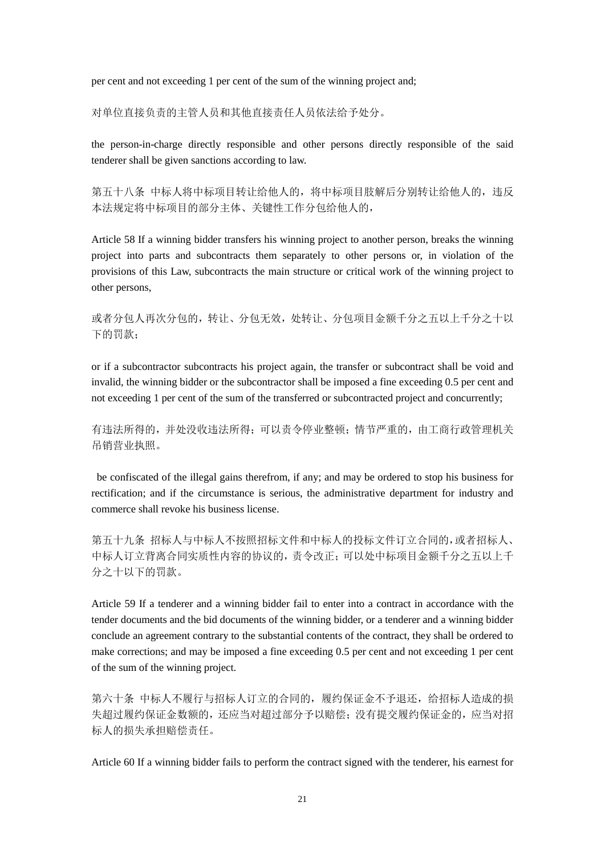per cent and not exceeding 1 per cent of the sum of the winning project and;

对单位直接负责的主管人员和其他直接责任人员依法给予处分。

the person-in-charge directly responsible and other persons directly responsible of the said tenderer shall be given sanctions according to law.

第五十八条 中标人将中标项目转让给他人的,将中标项目肢解后分别转让给他人的,违反 本法规定将中标项目的部分主体、关键性工作分包给他人的,

Article 58 If a winning bidder transfers his winning project to another person, breaks the winning project into parts and subcontracts them separately to other persons or, in violation of the provisions of this Law, subcontracts the main structure or critical work of the winning project to other persons,

或者分包人再次分包的,转让、分包无效,处转让、分包项目金额千分之五以上千分之十以 下的罚款;

or if a subcontractor subcontracts his project again, the transfer or subcontract shall be void and invalid, the winning bidder or the subcontractor shall be imposed a fine exceeding 0.5 per cent and not exceeding 1 per cent of the sum of the transferred or subcontracted project and concurrently;

有违法所得的,并处没收违法所得;可以责令停业整顿;情节严重的,由工商行政管理机关 吊销营业执照。

be confiscated of the illegal gains therefrom, if any; and may be ordered to stop his business for rectification; and if the circumstance is serious, the administrative department for industry and commerce shall revoke his business license.

第五十九条 招标人与中标人不按照招标文件和中标人的投标文件订立合同的,或者招标人、 中标人订立背离合同实质性内容的协议的,责令改正;可以处中标项目金额千分之五以上千 分之十以下的罚款。

Article 59 If a tenderer and a winning bidder fail to enter into a contract in accordance with the tender documents and the bid documents of the winning bidder, or a tenderer and a winning bidder conclude an agreement contrary to the substantial contents of the contract, they shall be ordered to make corrections; and may be imposed a fine exceeding 0.5 per cent and not exceeding 1 per cent of the sum of the winning project.

第六十条 中标人不履行与招标人订立的合同的,履约保证金不予退还,给招标人造成的损 失超过履约保证金数额的,还应当对超过部分予以赔偿;没有提交履约保证金的,应当对招 标人的损失承担赔偿责任。

Article 60 If a winning bidder fails to perform the contract signed with the tenderer, his earnest for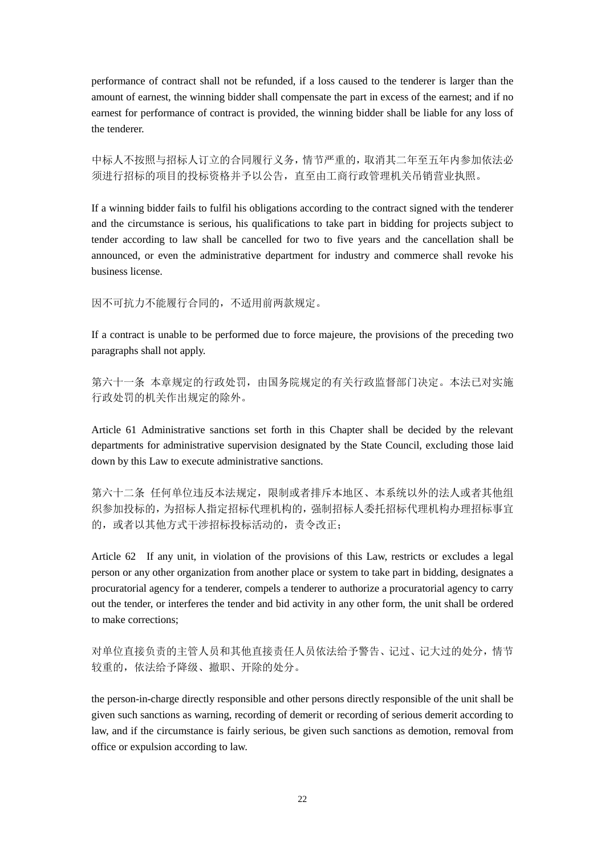performance of contract shall not be refunded, if a loss caused to the tenderer is larger than the amount of earnest, the winning bidder shall compensate the part in excess of the earnest; and if no earnest for performance of contract is provided, the winning bidder shall be liable for any loss of the tenderer.

中标人不按照与招标人订立的合同履行义务,情节严重的,取消其二年至五年内参加依法必 须进行招标的项目的投标资格并予以公告,直至由工商行政管理机关吊销营业执照。

If a winning bidder fails to fulfil his obligations according to the contract signed with the tenderer and the circumstance is serious, his qualifications to take part in bidding for projects subject to tender according to law shall be cancelled for two to five years and the cancellation shall be announced, or even the administrative department for industry and commerce shall revoke his business license.

因不可抗力不能履行合同的,不适用前两款规定。

If a contract is unable to be performed due to force majeure, the provisions of the preceding two paragraphs shall not apply.

第六十一条 本章规定的行政处罚,由国务院规定的有关行政监督部门决定。本法已对实施 行政处罚的机关作出规定的除外。

Article 61 Administrative sanctions set forth in this Chapter shall be decided by the relevant departments for administrative supervision designated by the State Council, excluding those laid down by this Law to execute administrative sanctions.

第六十二条 任何单位违反本法规定,限制或者排斥本地区、本系统以外的法人或者其他组 织参加投标的,为招标人指定招标代理机构的,强制招标人委托招标代理机构办理招标事宜 的,或者以其他方式干涉招标投标活动的,责令改正;

Article 62 If any unit, in violation of the provisions of this Law, restricts or excludes a legal person or any other organization from another place or system to take part in bidding, designates a procuratorial agency for a tenderer, compels a tenderer to authorize a procuratorial agency to carry out the tender, or interferes the tender and bid activity in any other form, the unit shall be ordered to make corrections;

对单位直接负责的主管人员和其他直接责任人员依法给予警告、记过、记大过的处分,情节 较重的,依法给予降级、撤职、开除的处分。

the person-in-charge directly responsible and other persons directly responsible of the unit shall be given such sanctions as warning, recording of demerit or recording of serious demerit according to law, and if the circumstance is fairly serious, be given such sanctions as demotion, removal from office or expulsion according to law.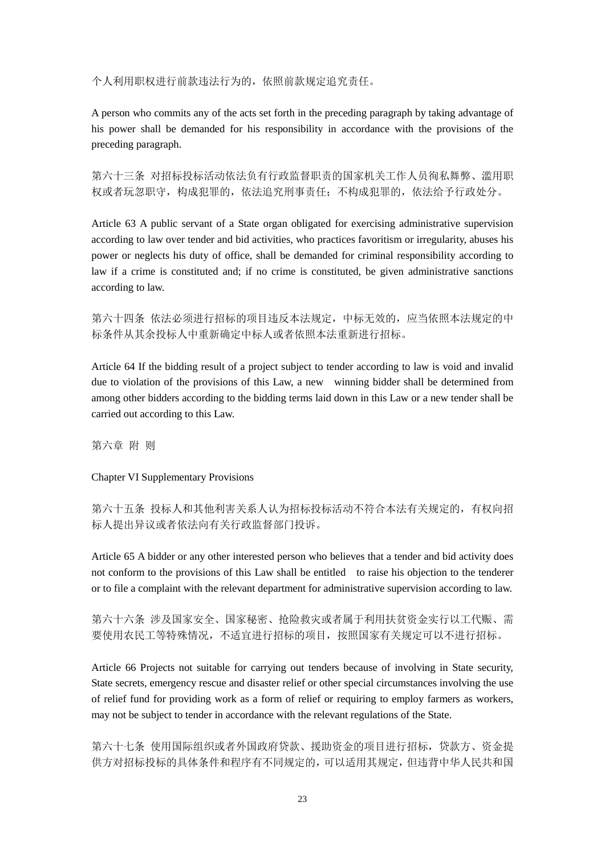个人利用职权进行前款违法行为的,依照前款规定追究责任。

A person who commits any of the acts set forth in the preceding paragraph by taking advantage of his power shall be demanded for his responsibility in accordance with the provisions of the preceding paragraph.

第六十三条 对招标投标活动依法负有行政监督职责的国家机关工作人员徇私舞弊、滥用职 权或者玩忽职守,构成犯罪的,依法追究刑事责任;不构成犯罪的,依法给予行政处分。

Article 63 A public servant of a State organ obligated for exercising administrative supervision according to law over tender and bid activities, who practices favoritism or irregularity, abuses his power or neglects his duty of office, shall be demanded for criminal responsibility according to law if a crime is constituted and; if no crime is constituted, be given administrative sanctions according to law.

第六十四条 依法必须进行招标的项目违反本法规定,中标无效的,应当依照本法规定的中 标条件从其余投标人中重新确定中标人或者依照本法重新进行招标。

Article 64 If the bidding result of a project subject to tender according to law is void and invalid due to violation of the provisions of this Law, a new winning bidder shall be determined from among other bidders according to the bidding terms laid down in this Law or a new tender shall be carried out according to this Law.

第六章 附 则

Chapter VI Supplementary Provisions

第六十五条 投标人和其他利害关系人认为招标投标活动不符合本法有关规定的, 有权向招 标人提出异议或者依法向有关行政监督部门投诉。

Article 65 A bidder or any other interested person who believes that a tender and bid activity does not conform to the provisions of this Law shall be entitled to raise his objection to the tenderer or to file a complaint with the relevant department for administrative supervision according to law.

第六十六条 涉及国家安全、国家秘密、抢险救灾或者属于利用扶贫资金实行以工代赈、需 要使用农民工等特殊情况,不适宜进行招标的项目,按照国家有关规定可以不进行招标。

Article 66 Projects not suitable for carrying out tenders because of involving in State security, State secrets, emergency rescue and disaster relief or other special circumstances involving the use of relief fund for providing work as a form of relief or requiring to employ farmers as workers, may not be subject to tender in accordance with the relevant regulations of the State.

第六十七条 使用国际组织或者外国政府贷款、援助资金的项目进行招标,贷款方、资金提 供方对招标投标的具体条件和程序有不同规定的,可以适用其规定,但违背中华人民共和国